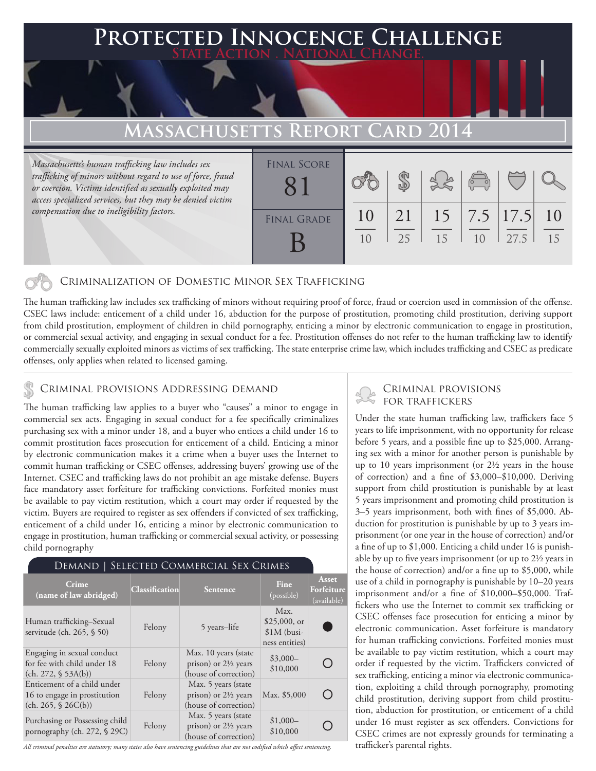# **Protected Innocence Challenge State Action . National Change.**

## **Massachusetts Report Card 2014**

*Massachusetts's human trafficking law includes sex trafficking of minors without regard to use of force, fraud or coercion. Victims identified as sexually exploited may access specialized services, but they may be denied victim compensation due to ineligibility factors.*

| <b>FINAL SCORE</b> |          |          |    | $\overline{\circ}$<br>$\vec{o}$ |                             |          |
|--------------------|----------|----------|----|---------------------------------|-----------------------------|----------|
| <b>FINAL GRADE</b> | 10<br>10 | 21<br>25 | 15 | 10                              | $15$   7.5   17.5  <br>27.5 | 10<br>15 |

#### Criminalization of Domestic Minor Sex Trafficking

The human trafficking law includes sex trafficking of minors without requiring proof of force, fraud or coercion used in commission of the offense. CSEC laws include: enticement of a child under 16, abduction for the purpose of prostitution, promoting child prostitution, deriving support from child prostitution, employment of children in child pornography, enticing a minor by electronic communication to engage in prostitution, or commercial sexual activity, and engaging in sexual conduct for a fee. Prostitution offenses do not refer to the human trafficking law to identify commercially sexually exploited minors as victims of sex trafficking. The state enterprise crime law, which includes trafficking and CSEC as predicate offenses, only applies when related to licensed gaming.

## CRIMINAL PROVISIONS ADDRESSING DEMAND<br>FOR TRAFFICKERS

The human trafficking law applies to a buyer who "causes" a minor to engage in commercial sex acts. Engaging in sexual conduct for a fee specifically criminalizes purchasing sex with a minor under 18, and a buyer who entices a child under 16 to commit prostitution faces prosecution for enticement of a child. Enticing a minor by electronic communication makes it a crime when a buyer uses the Internet to commit human trafficking or CSEC offenses, addressing buyers' growing use of the Internet. CSEC and trafficking laws do not prohibit an age mistake defense. Buyers face mandatory asset forfeiture for trafficking convictions. Forfeited monies must be available to pay victim restitution, which a court may order if requested by the victim. Buyers are required to register as sex offenders if convicted of sex trafficking, enticement of a child under 16, enticing a minor by electronic communication to engage in prostitution, human trafficking or commercial sexual activity, or possessing child pornography

#### Demand | Selected Commercial Sex Crimes

| <b>Crime</b><br>(name of law abridged)                                              | Classification | Sentence                                                                         | Fine<br>(possible)                                       | Asset<br>Forfeiture<br>(available) |
|-------------------------------------------------------------------------------------|----------------|----------------------------------------------------------------------------------|----------------------------------------------------------|------------------------------------|
| Human trafficking–Sexual<br>servitude (ch. 265, § 50)                               | Felony         | 5 years-life                                                                     | Max.<br>$$25,000$ , or<br>$$1M$ (busi-<br>ness entities) |                                    |
| Engaging in sexual conduct<br>for fee with child under 18<br>(ch. 272, § 53A(b))    | Felony         | Max. 10 years (state<br>prison) or $2\frac{1}{2}$ years<br>(house of correction) | $$3,000-$<br>\$10,000                                    |                                    |
| Enticement of a child under<br>16 to engage in prostitution<br>(ch. 265, \$ 26C(b)) | Felony         | Max. 5 years (state<br>prison) or $2\frac{1}{2}$ years<br>(house of correction)  | Max. \$5,000                                             | ( )                                |
| Purchasing or Possessing child<br>pornography (ch. 272, § 29C)                      | Felony         | Max. 5 years (state<br>prison) or $2\frac{1}{2}$ years<br>(house of correction)  | $$1,000-$<br>\$10,000                                    |                                    |

*All criminal penalties are statutory; many states also have sentencing guidelines that are not codified which affect sentencing.* 

## Criminal provisions

Under the state human trafficking law, traffickers face 5 years to life imprisonment, with no opportunity for release before 5 years, and a possible fine up to \$25,000. Arranging sex with a minor for another person is punishable by up to 10 years imprisonment (or 2½ years in the house of correction) and a fine of \$3,000–\$10,000. Deriving support from child prostitution is punishable by at least 5 years imprisonment and promoting child prostitution is 3–5 years imprisonment, both with fines of \$5,000. Abduction for prostitution is punishable by up to 3 years imprisonment (or one year in the house of correction) and/or a fine of up to \$1,000. Enticing a child under 16 is punishable by up to five years imprisonment (or up to 2½ years in the house of correction) and/or a fine up to \$5,000, while use of a child in pornography is punishable by 10–20 years imprisonment and/or a fine of \$10,000–\$50,000. Traffickers who use the Internet to commit sex trafficking or CSEC offenses face prosecution for enticing a minor by electronic communication. Asset forfeiture is mandatory for human trafficking convictions. Forfeited monies must be available to pay victim restitution, which a court may order if requested by the victim. Traffickers convicted of sex trafficking, enticing a minor via electronic communication, exploiting a child through pornography, promoting child prostitution, deriving support from child prostitution, abduction for prostitution, or enticement of a child under 16 must register as sex offenders. Convictions for CSEC crimes are not expressly grounds for terminating a trafficker's parental rights.